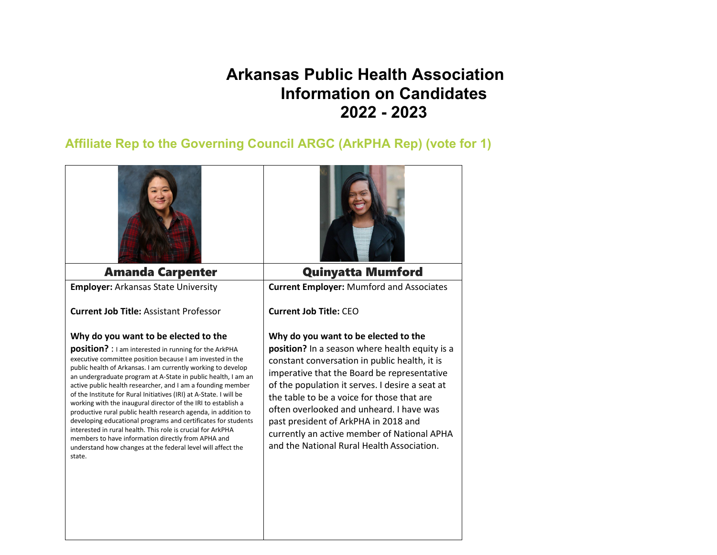# **Arkansas Public Health Association Information on Candidates 2022 - 2023**

## **Affiliate Rep to the Governing Council ARGC (ArkPHA Rep) (vote for 1)**

| <b>Amanda Carpenter</b>                                                                                                                                                                                                                                                                                                                                                                                                                                                                                                                                                                                                                                                                                                                                                                                                            | <b>Quinyatta Mumford</b>                                                                                                                                                                                                                                                                                                                                                                                                                                                 |
|------------------------------------------------------------------------------------------------------------------------------------------------------------------------------------------------------------------------------------------------------------------------------------------------------------------------------------------------------------------------------------------------------------------------------------------------------------------------------------------------------------------------------------------------------------------------------------------------------------------------------------------------------------------------------------------------------------------------------------------------------------------------------------------------------------------------------------|--------------------------------------------------------------------------------------------------------------------------------------------------------------------------------------------------------------------------------------------------------------------------------------------------------------------------------------------------------------------------------------------------------------------------------------------------------------------------|
| <b>Employer: Arkansas State University</b>                                                                                                                                                                                                                                                                                                                                                                                                                                                                                                                                                                                                                                                                                                                                                                                         | <b>Current Employer: Mumford and Associates</b>                                                                                                                                                                                                                                                                                                                                                                                                                          |
| <b>Current Job Title: Assistant Professor</b>                                                                                                                                                                                                                                                                                                                                                                                                                                                                                                                                                                                                                                                                                                                                                                                      | <b>Current Job Title: CEO</b>                                                                                                                                                                                                                                                                                                                                                                                                                                            |
| Why do you want to be elected to the<br>position? : I am interested in running for the ArkPHA<br>executive committee position because I am invested in the<br>public health of Arkansas. I am currently working to develop<br>an undergraduate program at A-State in public health, I am an<br>active public health researcher, and I am a founding member<br>of the Institute for Rural Initiatives (IRI) at A-State. I will be<br>working with the inaugural director of the IRI to establish a<br>productive rural public health research agenda, in addition to<br>developing educational programs and certificates for students<br>interested in rural health. This role is crucial for ArkPHA<br>members to have information directly from APHA and<br>understand how changes at the federal level will affect the<br>state. | Why do you want to be elected to the<br>position? In a season where health equity is a<br>constant conversation in public health, it is<br>imperative that the Board be representative<br>of the population it serves. I desire a seat at<br>the table to be a voice for those that are<br>often overlooked and unheard. I have was<br>past president of ArkPHA in 2018 and<br>currently an active member of National APHA<br>and the National Rural Health Association. |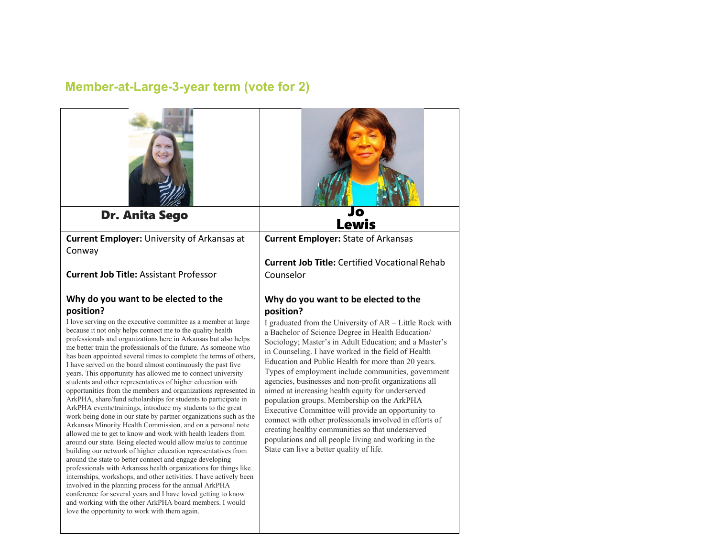# **Member-at-Large-3-year term (vote for 2)**

| <b>Dr. Anita Sego</b>                                                                                                                                                                                                                                                                                                                                                                                                                                                                                                                                                                                                                                                                                                                                                                                                                                                                                                                                                                                                                                                                                                                                                                                                                                                                                                                                                                                                                                                                                                                      | O<br><b>Lewis</b>                                                                                                                                                                                                                                                                                                                                                                                                                                                                                                                                                                                                                                                                                                                                                                               |
|--------------------------------------------------------------------------------------------------------------------------------------------------------------------------------------------------------------------------------------------------------------------------------------------------------------------------------------------------------------------------------------------------------------------------------------------------------------------------------------------------------------------------------------------------------------------------------------------------------------------------------------------------------------------------------------------------------------------------------------------------------------------------------------------------------------------------------------------------------------------------------------------------------------------------------------------------------------------------------------------------------------------------------------------------------------------------------------------------------------------------------------------------------------------------------------------------------------------------------------------------------------------------------------------------------------------------------------------------------------------------------------------------------------------------------------------------------------------------------------------------------------------------------------------|-------------------------------------------------------------------------------------------------------------------------------------------------------------------------------------------------------------------------------------------------------------------------------------------------------------------------------------------------------------------------------------------------------------------------------------------------------------------------------------------------------------------------------------------------------------------------------------------------------------------------------------------------------------------------------------------------------------------------------------------------------------------------------------------------|
| <b>Current Employer: University of Arkansas at</b><br>Conway                                                                                                                                                                                                                                                                                                                                                                                                                                                                                                                                                                                                                                                                                                                                                                                                                                                                                                                                                                                                                                                                                                                                                                                                                                                                                                                                                                                                                                                                               | <b>Current Employer: State of Arkansas</b>                                                                                                                                                                                                                                                                                                                                                                                                                                                                                                                                                                                                                                                                                                                                                      |
| <b>Current Job Title: Assistant Professor</b>                                                                                                                                                                                                                                                                                                                                                                                                                                                                                                                                                                                                                                                                                                                                                                                                                                                                                                                                                                                                                                                                                                                                                                                                                                                                                                                                                                                                                                                                                              | <b>Current Job Title: Certified Vocational Rehab</b><br>Counselor                                                                                                                                                                                                                                                                                                                                                                                                                                                                                                                                                                                                                                                                                                                               |
| Why do you want to be elected to the                                                                                                                                                                                                                                                                                                                                                                                                                                                                                                                                                                                                                                                                                                                                                                                                                                                                                                                                                                                                                                                                                                                                                                                                                                                                                                                                                                                                                                                                                                       | Why do you want to be elected to the                                                                                                                                                                                                                                                                                                                                                                                                                                                                                                                                                                                                                                                                                                                                                            |
| position?<br>I love serving on the executive committee as a member at large<br>because it not only helps connect me to the quality health<br>professionals and organizations here in Arkansas but also helps<br>me better train the professionals of the future. As someone who<br>has been appointed several times to complete the terms of others,<br>I have served on the board almost continuously the past five<br>years. This opportunity has allowed me to connect university<br>students and other representatives of higher education with<br>opportunities from the members and organizations represented in<br>ArkPHA, share/fund scholarships for students to participate in<br>ArkPHA events/trainings, introduce my students to the great<br>work being done in our state by partner organizations such as the<br>Arkansas Minority Health Commission, and on a personal note<br>allowed me to get to know and work with health leaders from<br>around our state. Being elected would allow me/us to continue<br>building our network of higher education representatives from<br>around the state to better connect and engage developing<br>professionals with Arkansas health organizations for things like<br>internships, workshops, and other activities. I have actively been<br>involved in the planning process for the annual ArkPHA<br>conference for several years and I have loved getting to know<br>and working with the other ArkPHA board members. I would<br>love the opportunity to work with them again. | position?<br>I graduated from the University of AR – Little Rock with<br>a Bachelor of Science Degree in Health Education/<br>Sociology; Master's in Adult Education; and a Master's<br>in Counseling. I have worked in the field of Health<br>Education and Public Health for more than 20 years.<br>Types of employment include communities, government<br>agencies, businesses and non-profit organizations all<br>aimed at increasing health equity for underserved<br>population groups. Membership on the ArkPHA<br>Executive Committee will provide an opportunity to<br>connect with other professionals involved in efforts of<br>creating healthy communities so that underserved<br>populations and all people living and working in the<br>State can live a better quality of life. |